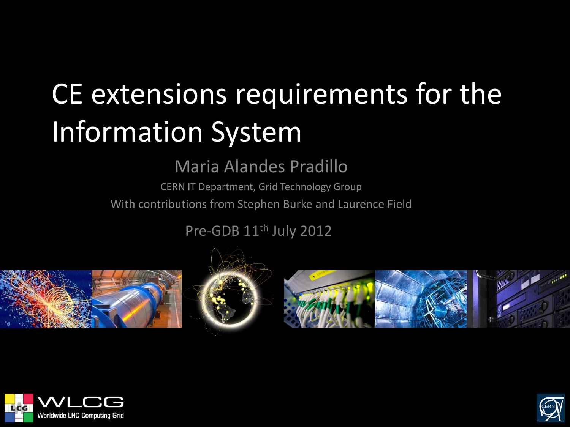## CE extensions requirements for the Information System

Maria Alandes Pradillo

CERN IT Department, Grid Technology Group With contributions from Stephen Burke and Laurence Field

Pre-GDB 11<sup>th</sup> July 2012









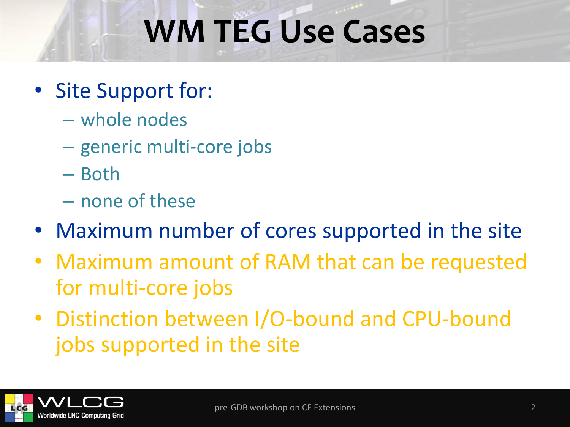# **WM TEG Use Cases**

- Site Support for:
	- whole nodes
	- generic multi-core jobs
	- Both
	- none of these
- Maximum number of cores supported in the site
- Maximum amount of RAM that can be requested for multi-core jobs
- Distinction between I/O-bound and CPU-bound jobs supported in the site

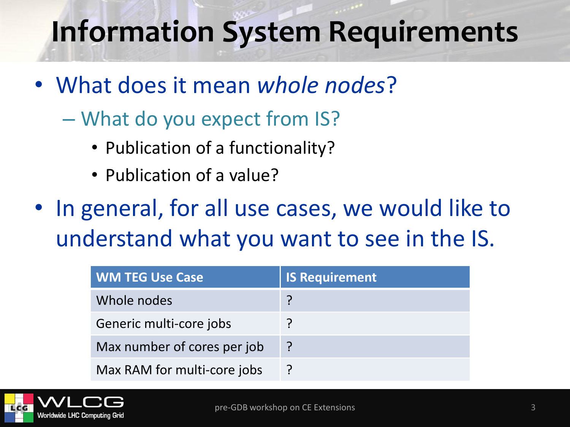#### **Information System Requirements**

- What does it mean *whole nodes*?
	- What do you expect from IS?
		- Publication of a functionality?
		- Publication of a value?
- In general, for all use cases, we would like to understand what you want to see in the IS.

| <b>WM TEG Use Case</b>      | <b>IS Requirement</b> |
|-----------------------------|-----------------------|
| Whole nodes                 |                       |
| Generic multi-core jobs     |                       |
| Max number of cores per job |                       |
| Max RAM for multi-core jobs |                       |

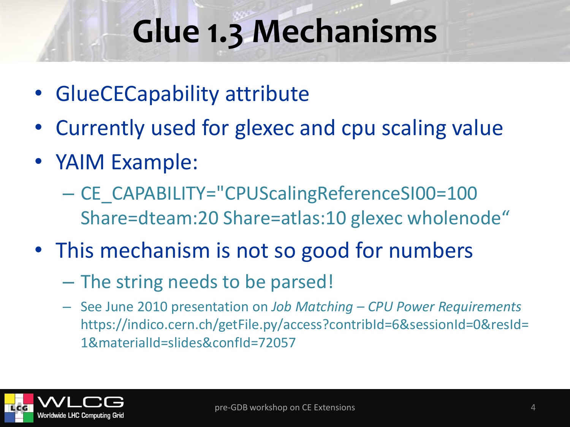## **Glue 1.3 Mechanisms**

- GlueCECapability attribute
- Currently used for glexec and cpu scaling value
- YAIM Example:
	- CE\_CAPABILITY="CPUScalingReferenceSI00=100 Share=dteam:20 Share=atlas:10 glexec wholenode"
- This mechanism is not so good for numbers
	- The string needs to be parsed!
	- See June 2010 presentation on *Job Matching – CPU Power Requirements* https://indico.cern.ch/getFile.py/access?contribId=6&sessionId=0&resId= 1&materialId=slides&confId=72057

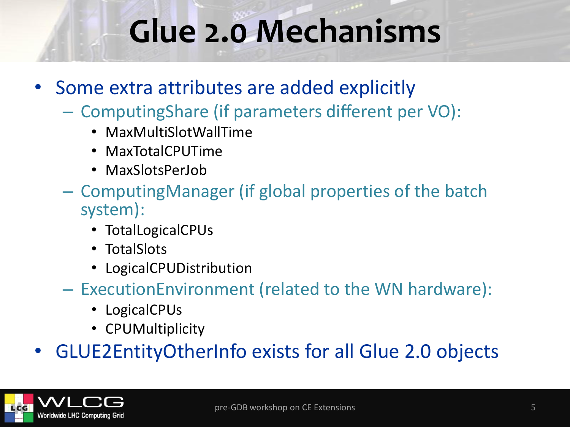### **Glue 2.0 Mechanisms**

- Some extra attributes are added explicitly
	- ComputingShare (if parameters different per VO):
		- MaxMultiSlotWallTime
		- MaxTotalCPUTime
		- MaxSlotsPerJob
	- ComputingManager (if global properties of the batch system):
		- TotalLogicalCPUs
		- TotalSlots
		- LogicalCPUDistribution
	- ExecutionEnvironment (related to the WN hardware):
		- LogicalCPUs
		- CPUMultiplicity

• GLUE2EntityOtherInfo exists for all Glue 2.0 objects

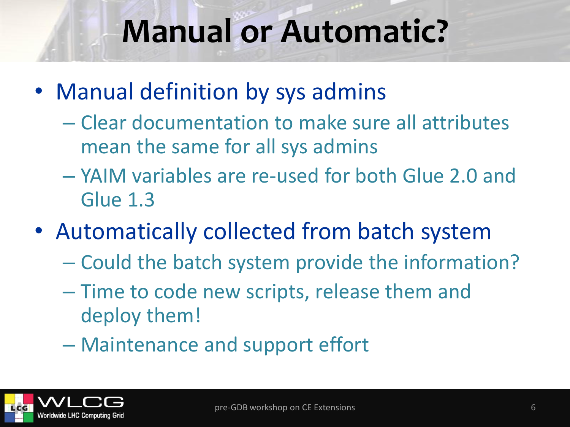#### **Manual or Automatic?**

- Manual definition by sys admins
	- Clear documentation to make sure all attributes mean the same for all sys admins
	- YAIM variables are re-used for both Glue 2.0 and Glue 1.3
- Automatically collected from batch system
	- Could the batch system provide the information?
	- Time to code new scripts, release them and deploy them!
	- Maintenance and support effort